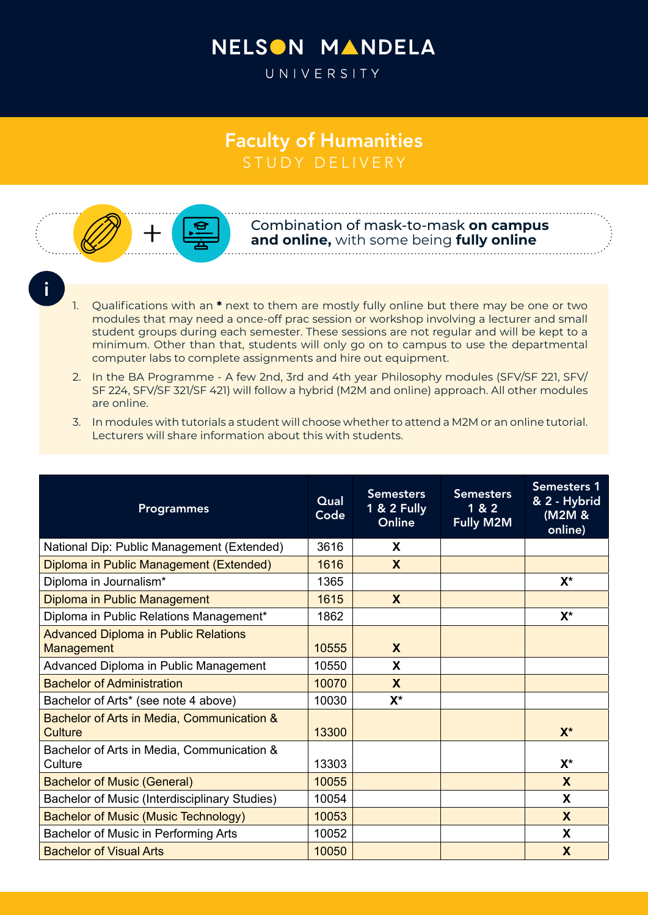## NELSON MANDELA

UNIVERSITY

## Faculty of Humanities STUDY DELIVERY



Combination of mask-to-mask **on campus and online,** with some being **fully online**

i

- 1. Qualifications with an **\*** next to them are mostly fully online but there may be one or two modules that may need a once-off prac session or workshop involving a lecturer and small student groups during each semester. These sessions are not regular and will be kept to a minimum. Other than that, students will only go on to campus to use the departmental computer labs to complete assignments and hire out equipment.
- 2. In the BA Programme A few 2nd, 3rd and 4th year Philosophy modules (SFV/SF 221, SFV/ SF 224, SFV/SF 321/SF 421) will follow a hybrid (M2M and online) approach. All other modules are online.
- 3. In modules with tutorials a student will choose whether to attend a M2M or an online tutorial. Lecturers will share information about this with students.

| <b>Programmes</b>                                                | Qual<br>Code | <b>Semesters</b><br>1 & 2 Fully<br>Online | <b>Semesters</b><br>1 & 2<br><b>Fully M2M</b> | <b>Semesters 1</b><br>& 2 - Hybrid<br>(M2M &<br>online) |
|------------------------------------------------------------------|--------------|-------------------------------------------|-----------------------------------------------|---------------------------------------------------------|
| National Dip: Public Management (Extended)                       | 3616         | X                                         |                                               |                                                         |
| Diploma in Public Management (Extended)                          | 1616         | X                                         |                                               |                                                         |
| Diploma in Journalism*                                           | 1365         |                                           |                                               | $X^*$                                                   |
| Diploma in Public Management                                     | 1615         | X                                         |                                               |                                                         |
| Diploma in Public Relations Management*                          | 1862         |                                           |                                               | $X^*$                                                   |
| <b>Advanced Diploma in Public Relations</b><br><b>Management</b> | 10555        | X                                         |                                               |                                                         |
| Advanced Diploma in Public Management                            | 10550        | X                                         |                                               |                                                         |
| <b>Bachelor of Administration</b>                                | 10070        | X                                         |                                               |                                                         |
| Bachelor of Arts* (see note 4 above)                             | 10030        | $X^*$                                     |                                               |                                                         |
| Bachelor of Arts in Media, Communication &<br>Culture            | 13300        |                                           |                                               | $X^*$                                                   |
| Bachelor of Arts in Media, Communication &<br>Culture            | 13303        |                                           |                                               | $X^*$                                                   |
| <b>Bachelor of Music (General)</b>                               | 10055        |                                           |                                               | $\mathbf{x}$                                            |
| Bachelor of Music (Interdisciplinary Studies)                    | 10054        |                                           |                                               | X                                                       |
| <b>Bachelor of Music (Music Technology)</b>                      | 10053        |                                           |                                               | X                                                       |
| Bachelor of Music in Performing Arts                             | 10052        |                                           |                                               | X                                                       |
| <b>Bachelor of Visual Arts</b>                                   | 10050        |                                           |                                               | X                                                       |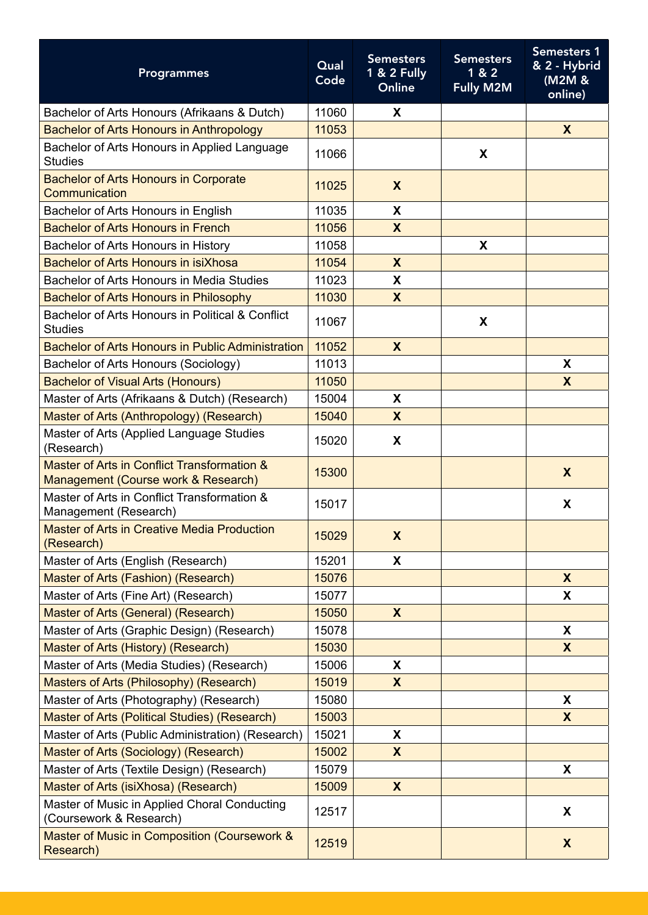| <b>Programmes</b>                                                                  | Qual<br>Code | <b>Semesters</b><br>1 & 2 Fully<br>Online | <b>Semesters</b><br>1 & 2<br><b>Fully M2M</b> | <b>Semesters 1</b><br>& 2 - Hybrid<br>(M2M &<br>online) |
|------------------------------------------------------------------------------------|--------------|-------------------------------------------|-----------------------------------------------|---------------------------------------------------------|
| Bachelor of Arts Honours (Afrikaans & Dutch)                                       | 11060        | X                                         |                                               |                                                         |
| <b>Bachelor of Arts Honours in Anthropology</b>                                    | 11053        |                                           |                                               | $\mathsf{X}$                                            |
| Bachelor of Arts Honours in Applied Language<br><b>Studies</b>                     | 11066        |                                           | X                                             |                                                         |
| <b>Bachelor of Arts Honours in Corporate</b><br>Communication                      | 11025        | X                                         |                                               |                                                         |
| Bachelor of Arts Honours in English                                                | 11035        | X                                         |                                               |                                                         |
| <b>Bachelor of Arts Honours in French</b>                                          | 11056        | $\mathsf{X}$                              |                                               |                                                         |
| Bachelor of Arts Honours in History                                                | 11058        |                                           | X                                             |                                                         |
| Bachelor of Arts Honours in isiXhosa                                               | 11054        | X                                         |                                               |                                                         |
| Bachelor of Arts Honours in Media Studies                                          | 11023        | X                                         |                                               |                                                         |
| <b>Bachelor of Arts Honours in Philosophy</b>                                      | 11030        | $\mathsf{X}$                              |                                               |                                                         |
| Bachelor of Arts Honours in Political & Conflict<br><b>Studies</b>                 | 11067        |                                           | X                                             |                                                         |
| <b>Bachelor of Arts Honours in Public Administration</b>                           | 11052        | $\boldsymbol{X}$                          |                                               |                                                         |
| Bachelor of Arts Honours (Sociology)                                               | 11013        |                                           |                                               | X                                                       |
| <b>Bachelor of Visual Arts (Honours)</b>                                           | 11050        |                                           |                                               | $\mathsf{X}$                                            |
| Master of Arts (Afrikaans & Dutch) (Research)                                      | 15004        | X                                         |                                               |                                                         |
| Master of Arts (Anthropology) (Research)                                           | 15040        | $\mathbf{X}$                              |                                               |                                                         |
| Master of Arts (Applied Language Studies<br>(Research)                             | 15020        | X                                         |                                               |                                                         |
| Master of Arts in Conflict Transformation &<br>Management (Course work & Research) | 15300        |                                           |                                               | X                                                       |
| Master of Arts in Conflict Transformation &<br>Management (Research)               | 15017        |                                           |                                               | X                                                       |
| <b>Master of Arts in Creative Media Production</b><br>(Research)                   | 15029        | X                                         |                                               |                                                         |
| Master of Arts (English (Research)                                                 | 15201        | X                                         |                                               |                                                         |
| Master of Arts (Fashion) (Research)                                                | 15076        |                                           |                                               | $\mathbf{X}$                                            |
| Master of Arts (Fine Art) (Research)                                               | 15077        |                                           |                                               | X                                                       |
| Master of Arts (General) (Research)                                                | 15050        | $\mathbf{X}$                              |                                               |                                                         |
| Master of Arts (Graphic Design) (Research)                                         | 15078        |                                           |                                               | X                                                       |
| Master of Arts (History) (Research)                                                | 15030        |                                           |                                               | $\boldsymbol{X}$                                        |
| Master of Arts (Media Studies) (Research)                                          | 15006        | X                                         |                                               |                                                         |
| Masters of Arts (Philosophy) (Research)                                            | 15019        | $\mathsf{X}$                              |                                               |                                                         |
| Master of Arts (Photography) (Research)                                            | 15080        |                                           |                                               | X                                                       |
| Master of Arts (Political Studies) (Research)                                      | 15003        |                                           |                                               | X                                                       |
| Master of Arts (Public Administration) (Research)                                  | 15021        | X                                         |                                               |                                                         |
| Master of Arts (Sociology) (Research)                                              | 15002        | $\mathsf{X}$                              |                                               |                                                         |
| Master of Arts (Textile Design) (Research)                                         | 15079        |                                           |                                               | X                                                       |
| Master of Arts (isiXhosa) (Research)                                               | 15009        | X                                         |                                               |                                                         |
| Master of Music in Applied Choral Conducting<br>(Coursework & Research)            | 12517        |                                           |                                               | X                                                       |
| Master of Music in Composition (Coursework &<br>Research)                          | 12519        |                                           |                                               | $\boldsymbol{X}$                                        |